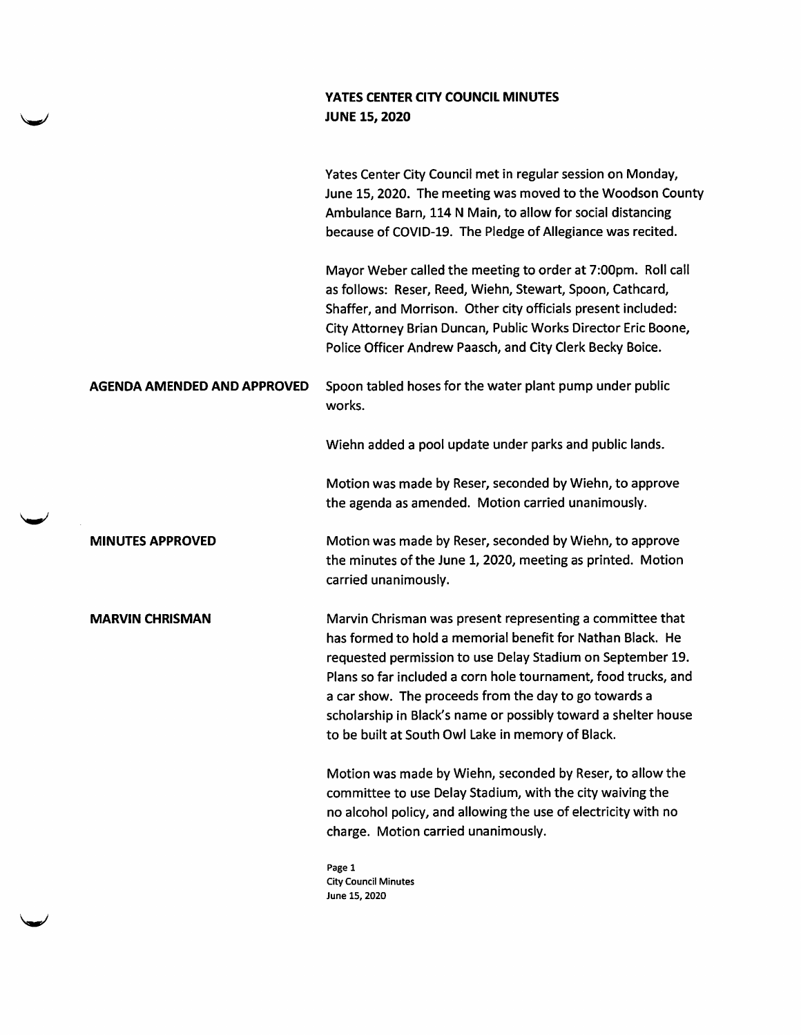## YATES CENTER CITY COUNCIL MINUTES JUNE 15, 2020

|                                    | Yates Center City Council met in regular session on Monday,<br>June 15, 2020. The meeting was moved to the Woodson County<br>Ambulance Barn, 114 N Main, to allow for social distancing<br>because of COVID-19. The Pledge of Allegiance was recited.                                                                                                                                                                                   |
|------------------------------------|-----------------------------------------------------------------------------------------------------------------------------------------------------------------------------------------------------------------------------------------------------------------------------------------------------------------------------------------------------------------------------------------------------------------------------------------|
|                                    | Mayor Weber called the meeting to order at 7:00pm. Roll call<br>as follows: Reser, Reed, Wiehn, Stewart, Spoon, Cathcard,<br>Shaffer, and Morrison. Other city officials present included:<br>City Attorney Brian Duncan, Public Works Director Eric Boone,<br>Police Officer Andrew Paasch, and City Clerk Becky Boice.                                                                                                                |
| <b>AGENDA AMENDED AND APPROVED</b> | Spoon tabled hoses for the water plant pump under public<br>works.                                                                                                                                                                                                                                                                                                                                                                      |
|                                    | Wiehn added a pool update under parks and public lands.                                                                                                                                                                                                                                                                                                                                                                                 |
|                                    | Motion was made by Reser, seconded by Wiehn, to approve<br>the agenda as amended. Motion carried unanimously.                                                                                                                                                                                                                                                                                                                           |
| <b>MINUTES APPROVED</b>            | Motion was made by Reser, seconded by Wiehn, to approve<br>the minutes of the June 1, 2020, meeting as printed. Motion<br>carried unanimously.                                                                                                                                                                                                                                                                                          |
| <b>MARVIN CHRISMAN</b>             | Marvin Chrisman was present representing a committee that<br>has formed to hold a memorial benefit for Nathan Black. He<br>requested permission to use Delay Stadium on September 19.<br>Plans so far included a corn hole tournament, food trucks, and<br>a car show. The proceeds from the day to go towards a<br>scholarship in Black's name or possibly toward a shelter house<br>to be built at South Owl Lake in memory of Black. |
|                                    | Motion was made by Wiehn, seconded by Reser, to allow the<br>committee to use Delay Stadium, with the city waiving the<br>no alcohol policy, and allowing the use of electricity with no<br>charge. Motion carried unanimously.                                                                                                                                                                                                         |
|                                    | Page 1<br><b>City Council Minutes</b><br>June 15, 2020                                                                                                                                                                                                                                                                                                                                                                                  |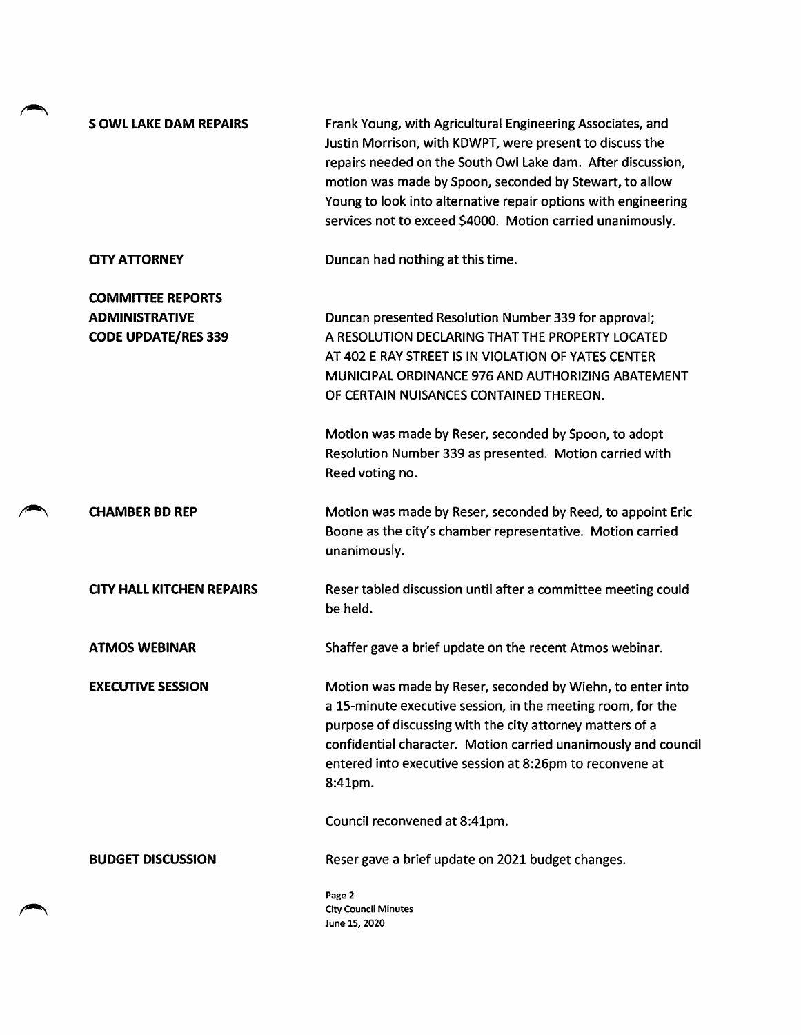| <b>S OWL LAKE DAM REPAIRS</b>                                                   | Frank Young, with Agricultural Engineering Associates, and<br>Justin Morrison, with KDWPT, were present to discuss the<br>repairs needed on the South Owl Lake dam. After discussion,<br>motion was made by Spoon, seconded by Stewart, to allow<br>Young to look into alternative repair options with engineering<br>services not to exceed \$4000. Motion carried unanimously. |
|---------------------------------------------------------------------------------|----------------------------------------------------------------------------------------------------------------------------------------------------------------------------------------------------------------------------------------------------------------------------------------------------------------------------------------------------------------------------------|
| <b>CITY ATTORNEY</b>                                                            | Duncan had nothing at this time.                                                                                                                                                                                                                                                                                                                                                 |
| <b>COMMITTEE REPORTS</b><br><b>ADMINISTRATIVE</b><br><b>CODE UPDATE/RES 339</b> | Duncan presented Resolution Number 339 for approval;<br>A RESOLUTION DECLARING THAT THE PROPERTY LOCATED<br>AT 402 E RAY STREET IS IN VIOLATION OF YATES CENTER<br>MUNICIPAL ORDINANCE 976 AND AUTHORIZING ABATEMENT<br>OF CERTAIN NUISANCES CONTAINED THEREON.                                                                                                                  |
|                                                                                 | Motion was made by Reser, seconded by Spoon, to adopt<br>Resolution Number 339 as presented. Motion carried with<br>Reed voting no.                                                                                                                                                                                                                                              |
| <b>CHAMBER BD REP</b>                                                           | Motion was made by Reser, seconded by Reed, to appoint Eric<br>Boone as the city's chamber representative. Motion carried<br>unanimously.                                                                                                                                                                                                                                        |
| <b>CITY HALL KITCHEN REPAIRS</b>                                                | Reser tabled discussion until after a committee meeting could<br>be held.                                                                                                                                                                                                                                                                                                        |
| <b>ATMOS WEBINAR</b>                                                            | Shaffer gave a brief update on the recent Atmos webinar.                                                                                                                                                                                                                                                                                                                         |
| <b>EXECUTIVE SESSION</b>                                                        | Motion was made by Reser, seconded by Wiehn, to enter into<br>a 15-minute executive session, in the meeting room, for the<br>purpose of discussing with the city attorney matters of a<br>confidential character. Motion carried unanimously and council<br>entered into executive session at 8:26pm to reconvene at<br>8:41pm.                                                  |
|                                                                                 | Council reconvened at 8:41pm.                                                                                                                                                                                                                                                                                                                                                    |
| <b>BUDGET DISCUSSION</b>                                                        | Reser gave a brief update on 2021 budget changes.                                                                                                                                                                                                                                                                                                                                |
|                                                                                 | Page 2<br><b>City Council Minutes</b><br>June 15, 2020                                                                                                                                                                                                                                                                                                                           |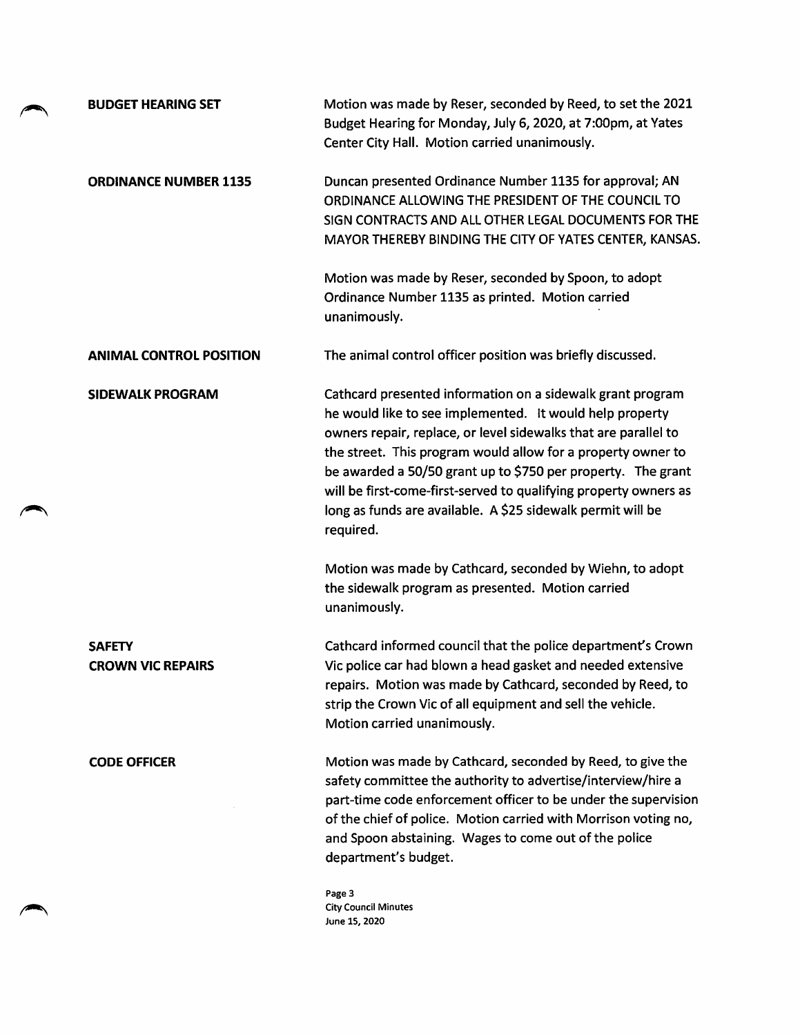| <b>BUDGET HEARING SET</b>                 | Motion was made by Reser, seconded by Reed, to set the 2021<br>Budget Hearing for Monday, July 6, 2020, at 7:00pm, at Yates<br>Center City Hall. Motion carried unanimously.                                                                                                                                                                                                                                                                                              |
|-------------------------------------------|---------------------------------------------------------------------------------------------------------------------------------------------------------------------------------------------------------------------------------------------------------------------------------------------------------------------------------------------------------------------------------------------------------------------------------------------------------------------------|
| <b>ORDINANCE NUMBER 1135</b>              | Duncan presented Ordinance Number 1135 for approval; AN<br>ORDINANCE ALLOWING THE PRESIDENT OF THE COUNCIL TO<br>SIGN CONTRACTS AND ALL OTHER LEGAL DOCUMENTS FOR THE<br>MAYOR THEREBY BINDING THE CITY OF YATES CENTER, KANSAS.                                                                                                                                                                                                                                          |
|                                           | Motion was made by Reser, seconded by Spoon, to adopt<br>Ordinance Number 1135 as printed. Motion carried<br>unanimously.                                                                                                                                                                                                                                                                                                                                                 |
| <b>ANIMAL CONTROL POSITION</b>            | The animal control officer position was briefly discussed.                                                                                                                                                                                                                                                                                                                                                                                                                |
| <b>SIDEWALK PROGRAM</b>                   | Cathcard presented information on a sidewalk grant program<br>he would like to see implemented. It would help property<br>owners repair, replace, or level sidewalks that are parallel to<br>the street. This program would allow for a property owner to<br>be awarded a 50/50 grant up to \$750 per property. The grant<br>will be first-come-first-served to qualifying property owners as<br>long as funds are available. A \$25 sidewalk permit will be<br>required. |
|                                           | Motion was made by Cathcard, seconded by Wiehn, to adopt<br>the sidewalk program as presented. Motion carried<br>unanimously.                                                                                                                                                                                                                                                                                                                                             |
| <b>SAFETY</b><br><b>CROWN VIC REPAIRS</b> | Cathcard informed council that the police department's Crown<br>Vic police car had blown a head gasket and needed extensive<br>repairs. Motion was made by Cathcard, seconded by Reed, to<br>strip the Crown Vic of all equipment and sell the vehicle.<br>Motion carried unanimously.                                                                                                                                                                                    |
| <b>CODE OFFICER</b>                       | Motion was made by Cathcard, seconded by Reed, to give the<br>safety committee the authority to advertise/interview/hire a<br>part-time code enforcement officer to be under the supervision<br>of the chief of police. Motion carried with Morrison voting no,<br>and Spoon abstaining. Wages to come out of the police<br>department's budget.                                                                                                                          |
|                                           | Page 3<br><b>City Council Minutes</b><br>June 15, 2020                                                                                                                                                                                                                                                                                                                                                                                                                    |

÷.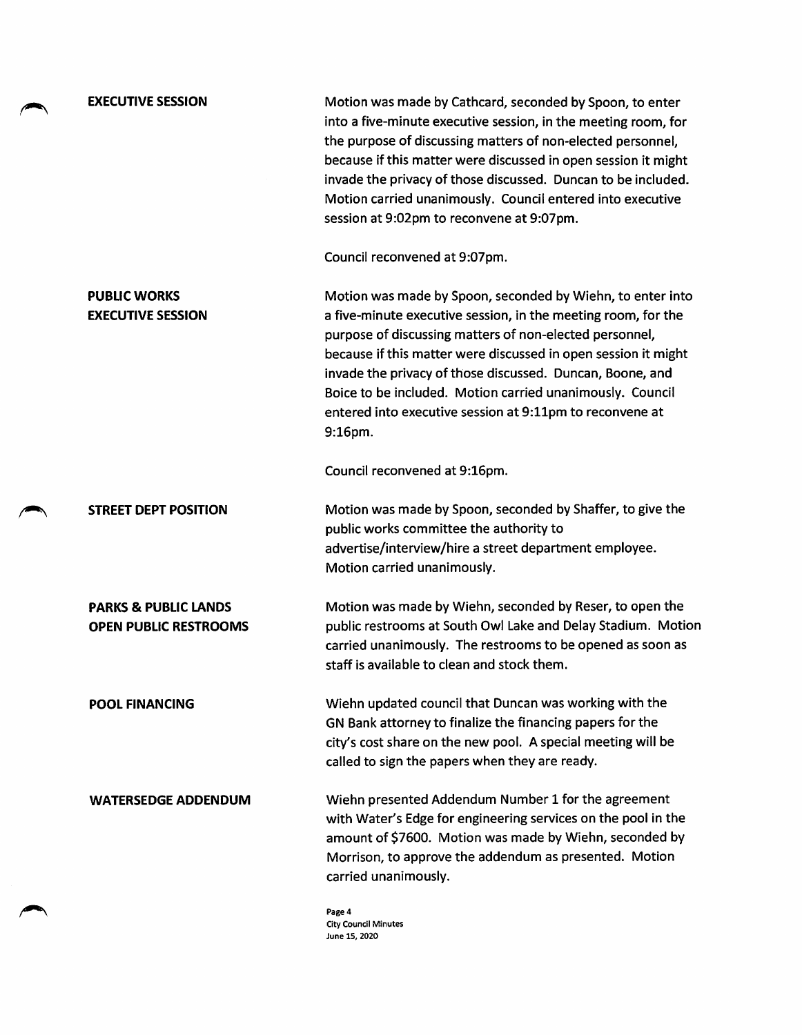PUBLIC WORKS EXECUTIVE SESSION

EXECUTIVE SESSION Motion was made by Cathcard, seconded by Spoon, to enter into a five-minute executive session, in the meeting room, for the purpose of discussing matters of non-elected personnel, because if this matter were discussed in open session it might invade the privacy of those discussed. Duncan to be included. Motion carried unanimously. Council entered into executive session at 9:02pm to reconvene at 9:07pm.

Council reconvened at 9:07pm.

Motion was made by Spoon, seconded by Wiehn, to enter into a five-minute executive session, in the meeting room, for the purpose of discussing matters of non-elected personnel, because if this matter were discussed in open session it might invade the privacy of those discussed. Duncan, Boone, and Boice to be included. Motion carried unanimously. Council entered into executive session at 9:11pm to reconvene at 9:16pm.

Council reconvened at 9:16pm.

STREET DEPT POSITION Motion was made by Spoon, seconded by Shaffer, to give the public works committee the authority to advertise/interview/hire a street department employee. Motion carried unanimously.

PARKS & PUBLIC LANDS OPEN PUBLIC RESTROOMS Motion was made by Wiehn, seconded by Reser, to open the public restrooms at South Owl Lake and Delay Stadium. Motion carried unanimously. The restrooms to be opened as soon as staff is available to clean and stock them.

POOL FINANCING Wiehn updated council that Duncan was working with the GN Bank attorney to finalize the financing papers for the city's cost share on the new pool. A special meeting will be called to sign the papers when they are ready.

WATERSEDGE ADDENDUM Wiehn presented Addendum Number 1 for the agreement with Water's Edge for engineering services on the pool in the amount of \$7600. Motion was made by Wiehn, seconded by Morrison, to approve the addendum as presented. Motion carried unanimously.

> Page 4 City Council Minutes June 15, 2020